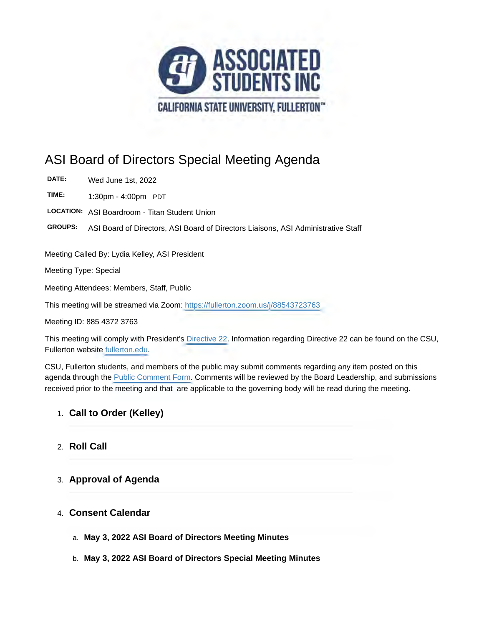

# ASI Board of Directors Special Meeting Agenda

**DATE:** Wed June 1st, 2022

**TIME:** 1:30pm - 4:00pm PDT

**LOCATION:** ASI Boardroom - Titan Student Union

**GROUPS:** ASI Board of Directors, ASI Board of Directors Liaisons, ASI Administrative Staff

Meeting Called By: Lydia Kelley, ASI President

Meeting Type: Special

Meeting Attendees: Members, Staff, Public

This meeting will be streamed via Zoom: <https://fullerton.zoom.us/j/88543723763>

Meeting ID: 885 4372 3763

This meeting will comply with President's [Directive 22](http://coronavirus.fullerton.edu/messages/presidents-directive-no-22/). Information regarding Directive 22 can be found on the CSU, Fullerton website [fullerton.edu.](http://fullerton.edu/)

CSU, Fullerton students, and members of the public may submit comments regarding any item posted on this agenda through the [Public Comment Form](https://asicsuf.wufoo.com/forms/public-comment-form/). Comments will be reviewed by the Board Leadership, and submissions received prior to the meeting and that are applicable to the governing body will be read during the meeting.

# 1. **Call to Order (Kelley)**

2. **Roll Call**

# 3. **Approval of Agenda**

## 4. **Consent Calendar**

- a. **May 3, 2022 ASI Board of Directors Meeting Minutes**
- b. **May 3, 2022 ASI Board of Directors Special Meeting Minutes**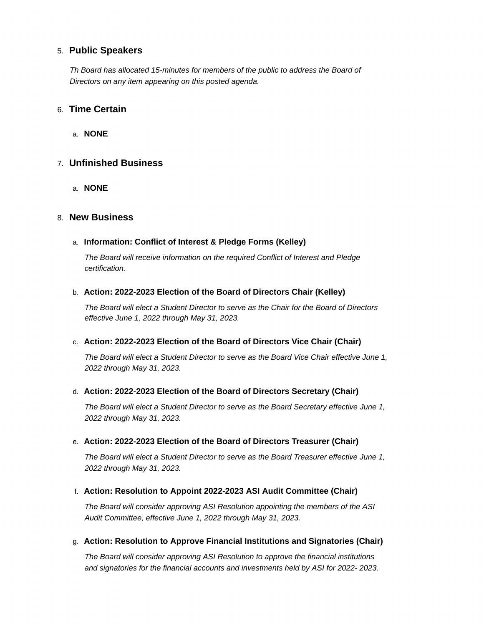## 5. **Public Speakers**

*Th Board has allocated 15-minutes for members of the public to address the Board of Directors on any item appearing on this posted agenda.*

## 6. **Time Certain**

a. **NONE**

### 7. **Unfinished Business**

a. **NONE**

#### 8. **New Business**

#### a. **Information: Conflict of Interest & Pledge Forms (Kelley)**

*The Board will receive information on the required Conflict of Interest and Pledge certification.*

#### b. **Action: 2022-2023 Election of the Board of Directors Chair (Kelley)**

*The Board will elect a Student Director to serve as the Chair for the Board of Directors effective June 1, 2022 through May 31, 2023.*

#### c. **Action: 2022-2023 Election of the Board of Directors Vice Chair (Chair)**

*The Board will elect a Student Director to serve as the Board Vice Chair effective June 1, 2022 through May 31, 2023.*

#### d. **Action: 2022-2023 Election of the Board of Directors Secretary (Chair)**

*The Board will elect a Student Director to serve as the Board Secretary effective June 1, 2022 through May 31, 2023.*

#### e. **Action: 2022-2023 Election of the Board of Directors Treasurer (Chair)**

*The Board will elect a Student Director to serve as the Board Treasurer effective June 1, 2022 through May 31, 2023.*

#### f. **Action: Resolution to Appoint 2022-2023 ASI Audit Committee (Chair)**

*The Board will consider approving ASI Resolution appointing the members of the ASI Audit Committee, effective June 1, 2022 through May 31, 2023.*

g. **Action: Resolution to Approve Financial Institutions and Signatories (Chair)**

*The Board will consider approving ASI Resolution to approve the financial institutions and signatories for the financial accounts and investments held by ASI for 2022- 2023.*